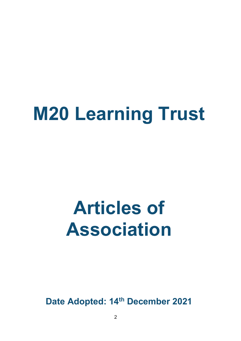# **M20 Learning Trust**

# **Articles of Association**

**Date Adopted: 14th December 2021**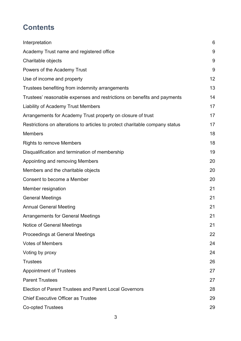# **Contents**

| Interpretation                                                               | 6  |
|------------------------------------------------------------------------------|----|
| Academy Trust name and registered office                                     | 9  |
| Charitable objects                                                           | 9  |
| Powers of the Academy Trust                                                  | 9  |
| Use of income and property                                                   | 12 |
| Trustees benefiting from indemnity arrangements                              | 13 |
| Trustees' reasonable expenses and restrictions on benefits and payments      | 14 |
| <b>Liability of Academy Trust Members</b>                                    | 17 |
| Arrangements for Academy Trust property on closure of trust                  | 17 |
| Restrictions on alterations to articles to protect charitable company status | 17 |
| <b>Members</b>                                                               | 18 |
| <b>Rights to remove Members</b>                                              | 18 |
| Disqualification and termination of membership                               | 19 |
| Appointing and removing Members                                              | 20 |
| Members and the charitable objects                                           | 20 |
| Consent to become a Member                                                   | 20 |
| Member resignation                                                           | 21 |
| <b>General Meetings</b>                                                      | 21 |
| <b>Annual General Meeting</b>                                                | 21 |
| <b>Arrangements for General Meetings</b>                                     | 21 |
| <b>Notice of General Meetings</b>                                            | 21 |
| <b>Proceedings at General Meetings</b>                                       | 22 |
| <b>Votes of Members</b>                                                      | 24 |
| Voting by proxy                                                              | 24 |
| <b>Trustees</b>                                                              | 26 |
| <b>Appointment of Trustees</b>                                               | 27 |
| <b>Parent Trustees</b>                                                       | 27 |
| <b>Election of Parent Trustees and Parent Local Governors</b>                | 28 |
| <b>Chief Executive Officer as Trustee</b>                                    | 29 |
| <b>Co-opted Trustees</b>                                                     | 29 |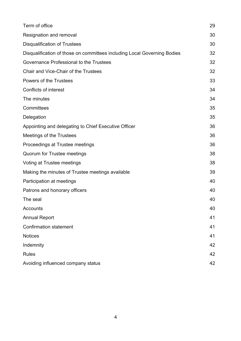| Term of office                                                           | 29 |
|--------------------------------------------------------------------------|----|
| Resignation and removal                                                  | 30 |
| <b>Disqualification of Trustees</b>                                      | 30 |
| Disqualification of those on committees including Local Governing Bodies | 32 |
| Governance Professional to the Trustees                                  | 32 |
| <b>Chair and Vice-Chair of the Trustees</b>                              | 32 |
| <b>Powers of the Trustees</b>                                            | 33 |
| <b>Conflicts of interest</b>                                             | 34 |
| The minutes                                                              | 34 |
| Committees                                                               | 35 |
| Delegation                                                               | 35 |
| Appointing and delegating to Chief Executive Officer                     | 36 |
| Meetings of the Trustees                                                 | 36 |
| Proceedings at Trustee meetings                                          | 36 |
| <b>Quorum for Trustee meetings</b>                                       | 38 |
| Voting at Trustee meetings                                               | 38 |
| Making the minutes of Trustee meetings available                         |    |
| Participation at meetings                                                | 40 |
| Patrons and honorary officers                                            | 40 |
| The seal                                                                 | 40 |
| Accounts                                                                 | 40 |
| <b>Annual Report</b>                                                     | 41 |
| <b>Confirmation statement</b>                                            | 41 |
| <b>Notices</b>                                                           | 41 |
| Indemnity                                                                | 42 |
| <b>Rules</b>                                                             | 42 |
| Avoiding influenced company status                                       | 42 |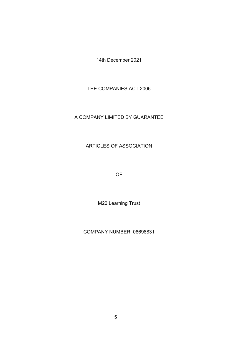14th December 2021

THE COMPANIES ACT 2006

#### A COMPANY LIMITED BY GUARANTEE

#### ARTICLES OF ASSOCIATION

OF

M20 Learning Trust

COMPANY NUMBER: 08698831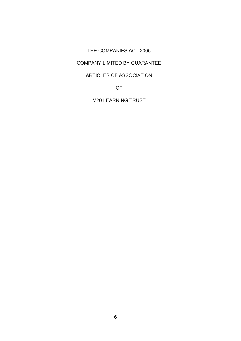#### THE COMPANIES ACT 2006

#### COMPANY LIMITED BY GUARANTEE

#### ARTICLES OF ASSOCIATION

OF

M20 LEARNING TRUST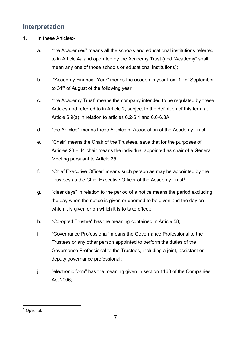# <span id="page-6-0"></span>**Interpretation**

- 1. In these Articles:
	- a. "the Academies" means all the schools and educational institutions referred to in Article 4a and operated by the Academy Trust (and "Academy" shall mean any one of those schools or educational institutions);
	- b. "Academy Financial Year" means the academic year from 1<sup>st</sup> of September to 31<sup>st</sup> of August of the following year;
	- c. "the Academy Trust" means the company intended to be regulated by these Articles and referred to in Article 2, subject to the definition of this term at Article 6.9(a) in relation to articles 6.2-6.4 and 6.6-6.8A;
	- d. "the Articles" means these Articles of Association of the Academy Trust;
	- e. "Chair" means the Chair of the Trustees, save that for the purposes of Articles 23 – 44 chair means the individual appointed as chair of a General Meeting pursuant to Article 25;
	- f. "Chief Executive Officer" means such person as may be appointed by the Trustees as the Chief Executive Officer of the Academy Trust<sup>[1](#page-6-1)</sup>;
	- g. "clear days" in relation to the period of a notice means the period excluding the day when the notice is given or deemed to be given and the day on which it is given or on which it is to take effect;
	- h. "Co-opted Trustee" has the meaning contained in Article 58;
	- i. "Governance Professional" means the Governance Professional to the Trustees or any other person appointed to perform the duties of the Governance Professional to the Trustees, including a joint, assistant or deputy governance professional;
	- j. "electronic form" has the meaning given in section 1168 of the Companies Act 2006;

<span id="page-6-1"></span> <sup>1</sup> Optional.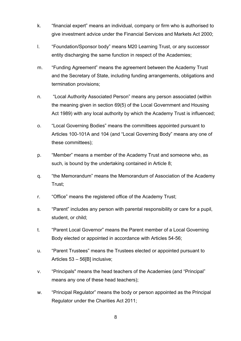- k. "financial expert" means an individual, company or firm who is authorised to give investment advice under the Financial Services and Markets Act 2000;
- l. "Foundation/Sponsor body" means M20 Learning Trust, or any successor entity discharging the same function in respect of the Academies;
- m. "Funding Agreement" means the agreement between the Academy Trust and the Secretary of State, including funding arrangements, obligations and termination provisions;
- n. "Local Authority Associated Person" means any person associated (within the meaning given in section 69(5) of the Local Government and Housing Act 1989) with any local authority by which the Academy Trust is influenced;
- o. "Local Governing Bodies" means the committees appointed pursuant to Articles 100-101A and 104 (and "Local Governing Body" means any one of these committees);
- p. "Member" means a member of the Academy Trust and someone who, as such, is bound by the undertaking contained in Article 8;
- q. "the Memorandum" means the Memorandum of Association of the Academy Trust;
- r. "Office" means the registered office of the Academy Trust;
- s. "Parent" includes any person with parental responsibility or care for a pupil, student, or child;
- t. "Parent Local Governor" means the Parent member of a Local Governing Body elected or appointed in accordance with Articles 54-56;
- u. "Parent Trustees" means the Trustees elected or appointed pursuant to Articles 53 – 56[B] inclusive;
- v. "Principals" means the head teachers of the Academies (and "Principal" means any one of these head teachers);
- w. "Principal Regulator" means the body or person appointed as the Principal Regulator under the Charities Act 2011;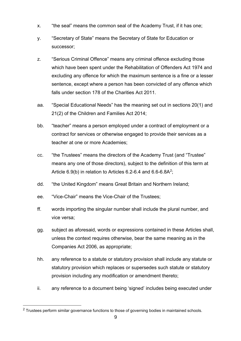- x. "the seal" means the common seal of the Academy Trust, if it has one;
- y. "Secretary of State" means the Secretary of State for Education or successor;
- z. "Serious Criminal Offence" means any criminal offence excluding those which have been spent under the Rehabilitation of Offenders Act 1974 and excluding any offence for which the maximum sentence is a fine or a lesser sentence, except where a person has been convicted of any offence which falls under section 178 of the Charities Act 2011
- aa. "Special Educational Needs" has the meaning set out in sections 20(1) and 21(2) of the Children and Families Act 2014;
- bb. "teacher" means a person employed under a contract of employment or a contract for services or otherwise engaged to provide their services as a teacher at one or more Academies;
- cc. "the Trustees" means the directors of the Academy Trust (and "Trustee" means any one of those directors), subject to the definition of this term at Article  $6.9(b)$  in relation to Articles  $6.2-6.4$  and  $6.6-6.8A^2$ ;
- dd. "the United Kingdom" means Great Britain and Northern Ireland;
- ee. "Vice-Chair" means the Vice-Chair of the Trustees;
- ff. words importing the singular number shall include the plural number, and vice versa;
- gg. subject as aforesaid, words or expressions contained in these Articles shall, unless the context requires otherwise, bear the same meaning as in the Companies Act 2006, as appropriate;
- hh. any reference to a statute or statutory provision shall include any statute or statutory provision which replaces or supersedes such statute or statutory provision including any modification or amendment thereto;
- ii. any reference to a document being 'signed' includes being executed under

<span id="page-8-0"></span> $2$  Trustees perform similar governance functions to those of governing bodies in maintained schools.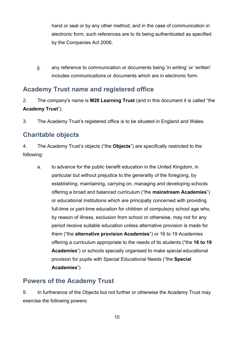hand or seal or by any other method, and in the case of communication in electronic form, such references are to its being authenticated as specified by the Companies Act 2006;

jj. any reference to communication or documents being 'in writing' or 'written' includes communications or documents which are in electronic form.

# <span id="page-9-0"></span>**Academy Trust name and registered office**

- 2. The company's name is **M20 Learning Trust** (and in this document it is called "the **Academy Trust**").
- 3. The Academy Trust's registered office is to be situated in England and Wales.

# <span id="page-9-1"></span>**Charitable objects**

4. The Academy Trust's objects ("the **Objects**") are specifically restricted to the following:

a. to advance for the public benefit education in the United Kingdom, in particular but without prejudice to the generality of the foregoing, by establishing, maintaining, carrying on, managing and developing schools offering a broad and balanced curriculum ("the **mainstream Academies**") or educational institutions which are principally concerned with providing full-time or part-time education for children of compulsory school age who, by reason of illness, exclusion from school or otherwise, may not for any period receive suitable education unless alternative provision is made for them ("the **alternative provision Academies**") or 16 to 19 Academies offering a curriculum appropriate to the needs of its students ("the **16 to 19 Academies**") or schools specially organised to make special educational provision for pupils with Special Educational Needs ("the **Special Academies**")

## <span id="page-9-2"></span>**Powers of the Academy Trust**

5. In furtherance of the Objects but not further or otherwise the Academy Trust may exercise the following powers: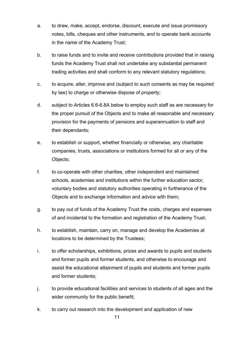- a. to draw, make, accept, endorse, discount, execute and issue promissory notes, bills, cheques and other instruments, and to operate bank accounts in the name of the Academy Trust;
- b. to raise funds and to invite and receive contributions provided that in raising funds the Academy Trust shall not undertake any substantial permanent trading activities and shall conform to any relevant statutory regulations;
- c. to acquire, alter, improve and (subject to such consents as may be required by law) to charge or otherwise dispose of property;
- d. subject to Articles 6.6-6.8A below to employ such staff as are necessary for the proper pursuit of the Objects and to make all reasonable and necessary provision for the payments of pensions and superannuation to staff and their dependants;
- e. to establish or support, whether financially or otherwise, any charitable companies, trusts, associations or institutions formed for all or any of the Objects;
- f. to co-operate with other charities, other independent and maintained schools, academies and institutions within the further education sector, voluntary bodies and statutory authorities operating in furtherance of the Objects and to exchange information and advice with them;
- g. to pay out of funds of the Academy Trust the costs, charges and expenses of and incidental to the formation and registration of the Academy Trust;
- h. to establish, maintain, carry on, manage and develop the Academies at locations to be determined by the Trustees;
- i. to offer scholarships, exhibitions, prizes and awards to pupils and students and former pupils and former students, and otherwise to encourage and assist the educational attainment of pupils and students and former pupils and former students;
- j. to provide educational facilities and services to students of all ages and the wider community for the public benefit;
- k. to carry out research into the development and application of new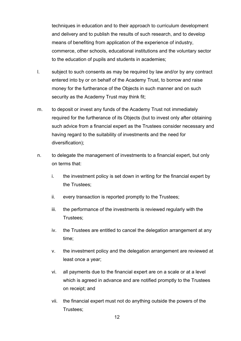techniques in education and to their approach to curriculum development and delivery and to publish the results of such research, and to develop means of benefiting from application of the experience of industry, commerce, other schools, educational institutions and the voluntary sector to the education of pupils and students in academies;

- l. subject to such consents as may be required by law and/or by any contract entered into by or on behalf of the Academy Trust, to borrow and raise money for the furtherance of the Objects in such manner and on such security as the Academy Trust may think fit;
- m. to deposit or invest any funds of the Academy Trust not immediately required for the furtherance of its Objects (but to invest only after obtaining such advice from a financial expert as the Trustees consider necessary and having regard to the suitability of investments and the need for diversification);
- n. to delegate the management of investments to a financial expert, but only on terms that:
	- i. the investment policy is set down in writing for the financial expert by the Trustees;
	- ii. every transaction is reported promptly to the Trustees;
	- iii. the performance of the investments is reviewed regularly with the Trustees;
	- iv. the Trustees are entitled to cancel the delegation arrangement at any time;
	- v. the investment policy and the delegation arrangement are reviewed at least once a year;
	- vi. all payments due to the financial expert are on a scale or at a level which is agreed in advance and are notified promptly to the Trustees on receipt; and
	- vii. the financial expert must not do anything outside the powers of the Trustees;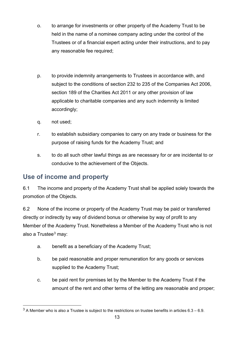- o. to arrange for investments or other property of the Academy Trust to be held in the name of a nominee company acting under the control of the Trustees or of a financial expert acting under their instructions, and to pay any reasonable fee required;
- p. to provide indemnity arrangements to Trustees in accordance with, and subject to the conditions of section 232 to 235 of the Companies Act 2006, section 189 of the Charities Act 2011 or any other provision of law applicable to charitable companies and any such indemnity is limited accordingly;
- q. not used;
- r. to establish subsidiary companies to carry on any trade or business for the purpose of raising funds for the Academy Trust; and
- s. to do all such other lawful things as are necessary for or are incidental to or conducive to the achievement of the Objects.

## <span id="page-12-0"></span>**Use of income and property**

6.1 The income and property of the Academy Trust shall be applied solely towards the promotion of the Objects.

6.2 None of the income or property of the Academy Trust may be paid or transferred directly or indirectly by way of dividend bonus or otherwise by way of profit to any Member of the Academy Trust. Nonetheless a Member of the Academy Trust who is not also a Trustee $3$  may:

- a. benefit as a beneficiary of the Academy Trust;
- b. be paid reasonable and proper remuneration for any goods or services supplied to the Academy Trust;
- c. be paid rent for premises let by the Member to the Academy Trust if the amount of the rent and other terms of the letting are reasonable and proper;

<span id="page-12-1"></span> $3$  A Member who is also a Trustee is subject to the restrictions on trustee benefits in articles  $6.3 - 6.9$ .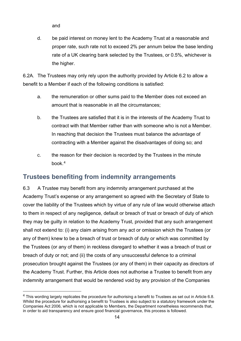and

d. be paid interest on money lent to the Academy Trust at a reasonable and proper rate, such rate not to exceed 2% per annum below the base lending rate of a UK clearing bank selected by the Trustees, or 0.5%, whichever is the higher.

6.2A. The Trustees may only rely upon the authority provided by Article 6.2 to allow a benefit to a Member if each of the following conditions is satisfied:

- a. the remuneration or other sums paid to the Member does not exceed an amount that is reasonable in all the circumstances;
- b. the Trustees are satisfied that it is in the interests of the Academy Trust to contract with that Member rather than with someone who is not a Member. In reaching that decision the Trustees must balance the advantage of contracting with a Member against the disadvantages of doing so; and
- c. the reason for their decision is recorded by the Trustees in the minute book.[4](#page-13-1)

## <span id="page-13-0"></span>**Trustees benefiting from indemnity arrangements**

6.3 A Trustee may benefit from any indemnity arrangement purchased at the Academy Trust's expense or any arrangement so agreed with the Secretary of State to cover the liability of the Trustees which by virtue of any rule of law would otherwise attach to them in respect of any negligence, default or breach of trust or breach of duty of which they may be guilty in relation to the Academy Trust, provided that any such arrangement shall not extend to: (i) any claim arising from any act or omission which the Trustees (or any of them) knew to be a breach of trust or breach of duty or which was committed by the Trustees (or any of them) in reckless disregard to whether it was a breach of trust or breach of duty or not; and (ii) the costs of any unsuccessful defence to a criminal prosecution brought against the Trustees (or any of them) in their capacity as directors of the Academy Trust. Further, this Article does not authorise a Trustee to benefit from any indemnity arrangement that would be rendered void by any provision of the Companies

<span id="page-13-1"></span> <sup>4</sup> This wording largely replicates the procedure for authorising a benefit to Trustees as set out in Article 6.8. Whilst the procedure for authorising a benefit to Trustees is also subject to a statutory framework under the Companies Act 2006, which is not applicable to Members, the Department nonetheless recommends that, in order to aid transparency and ensure good financial governance, this process is followed.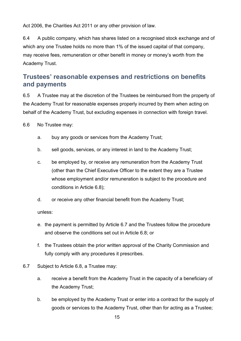Act 2006, the Charities Act 2011 or any other provision of law.

6.4 A public company, which has shares listed on a recognised stock exchange and of which any one Trustee holds no more than 1% of the issued capital of that company, may receive fees, remuneration or other benefit in money or money's worth from the Academy Trust.

## <span id="page-14-0"></span>**Trustees' reasonable expenses and restrictions on benefits and payments**

6.5 A Trustee may at the discretion of the Trustees be reimbursed from the property of the Academy Trust for reasonable expenses properly incurred by them when acting on behalf of the Academy Trust, but excluding expenses in connection with foreign travel.

6.6 No Trustee may:

- a. buy any goods or services from the Academy Trust;
- b. sell goods, services, or any interest in land to the Academy Trust;
- c. be employed by, or receive any remuneration from the Academy Trust (other than the Chief Executive Officer to the extent they are a Trustee whose employment and/or remuneration is subject to the procedure and conditions in Article 6.8);
- d. or receive any other financial benefit from the Academy Trust;

unless:

- e. the payment is permitted by Article 6.7 and the Trustees follow the procedure and observe the conditions set out in Article 6.8; or
- f. the Trustees obtain the prior written approval of the Charity Commission and fully comply with any procedures it prescribes.
- 6.7 Subject to Article 6.8, a Trustee may:
	- a. receive a benefit from the Academy Trust in the capacity of a beneficiary of the Academy Trust;
	- b. be employed by the Academy Trust or enter into a contract for the supply of goods or services to the Academy Trust, other than for acting as a Trustee;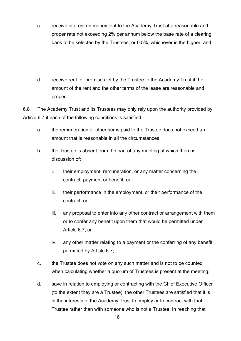- c. receive interest on money lent to the Academy Trust at a reasonable and proper rate not exceeding 2% per annum below the base rate of a clearing bank to be selected by the Trustees, or 0.5%, whichever is the higher; and
- d. receive rent for premises let by the Trustee to the Academy Trust if the amount of the rent and the other terms of the lease are reasonable and proper.

6.8 The Academy Trust and its Trustees may only rely upon the authority provided by Article 6.7 if each of the following conditions is satisfied:

- a. the remuneration or other sums paid to the Trustee does not exceed an amount that is reasonable in all the circumstances;
- b. the Trustee is absent from the part of any meeting at which there is discussion of:
	- i. their employment, remuneration, or any matter concerning the contract, payment or benefit; or
	- ii. their performance in the employment, or their performance of the contract; or
	- iii. any proposal to enter into any other contract or arrangement with them or to confer any benefit upon them that would be permitted under Article 6.7; or
	- iv. any other matter relating to a payment or the conferring of any benefit permitted by Article 6.7;
- c. the Trustee does not vote on any such matter and is not to be counted when calculating whether a quorum of Trustees is present at the meeting;
- d. save in relation to employing or contracting with the Chief Executive Officer (to the extent they are a Trustee), the other Trustees are satisfied that it is in the interests of the Academy Trust to employ or to contract with that Trustee rather than with someone who is not a Trustee. In reaching that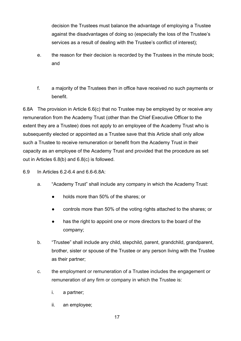decision the Trustees must balance the advantage of employing a Trustee against the disadvantages of doing so (especially the loss of the Trustee's services as a result of dealing with the Trustee's conflict of interest);

- e. the reason for their decision is recorded by the Trustees in the minute book; and
- f. a majority of the Trustees then in office have received no such payments or benefit.

6.8A The provision in Article 6.6(c) that no Trustee may be employed by or receive any remuneration from the Academy Trust (other than the Chief Executive Officer to the extent they are a Trustee) does not apply to an employee of the Academy Trust who is subsequently elected or appointed as a Trustee save that this Article shall only allow such a Trustee to receive remuneration or benefit from the Academy Trust in their capacity as an employee of the Academy Trust and provided that the procedure as set out in Articles 6.8(b) and 6.8(c) is followed.

- 6.9 In Articles 6.2-6.4 and 6.6-6.8A:
	- a. "Academy Trust" shall include any company in which the Academy Trust:
		- holds more than 50% of the shares; or
		- controls more than 50% of the voting rights attached to the shares; or
		- has the right to appoint one or more directors to the board of the company;
	- b. "Trustee" shall include any child, stepchild, parent, grandchild, grandparent, brother, sister or spouse of the Trustee or any person living with the Trustee as their partner;
	- c. the employment or remuneration of a Trustee includes the engagement or remuneration of any firm or company in which the Trustee is:
		- i. a partner;
		- ii. an employee;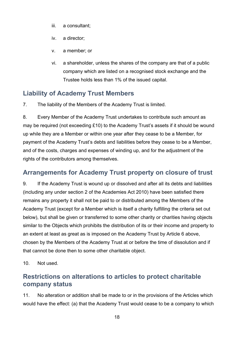- iii. a consultant;
- iv. a director;
- v. a member; or
- vi. a shareholder, unless the shares of the company are that of a public company which are listed on a recognised stock exchange and the Trustee holds less than 1% of the issued capital.

# <span id="page-17-0"></span>**Liability of Academy Trust Members**

7. The liability of the Members of the Academy Trust is limited.

8. Every Member of the Academy Trust undertakes to contribute such amount as may be required (not exceeding £10) to the Academy Trust's assets if it should be wound up while they are a Member or within one year after they cease to be a Member, for payment of the Academy Trust's debts and liabilities before they cease to be a Member, and of the costs, charges and expenses of winding up, and for the adjustment of the rights of the contributors among themselves.

## <span id="page-17-1"></span>**Arrangements for Academy Trust property on closure of trust**

9. If the Academy Trust is wound up or dissolved and after all its debts and liabilities (including any under section 2 of the Academies Act 2010) have been satisfied there remains any property it shall not be paid to or distributed among the Members of the Academy Trust (except for a Member which is itself a charity fulfilling the criteria set out below), but shall be given or transferred to some other charity or charities having objects similar to the Objects which prohibits the distribution of its or their income and property to an extent at least as great as is imposed on the Academy Trust by Article 6 above, chosen by the Members of the Academy Trust at or before the time of dissolution and if that cannot be done then to some other charitable object.

10. Not used.

## <span id="page-17-2"></span>**Restrictions on alterations to articles to protect charitable company status**

11. No alteration or addition shall be made to or in the provisions of the Articles which would have the effect: (a) that the Academy Trust would cease to be a company to which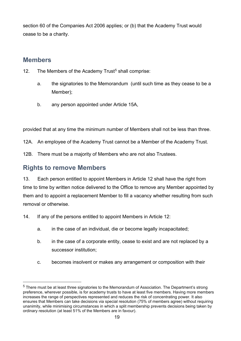section 60 of the Companies Act 2006 applies; or (b) that the Academy Trust would cease to be a charity.

#### <span id="page-18-0"></span>**Members**

- 12. The Members of the Academy Trust<sup>[5](#page-18-2)</sup> shall comprise:
	- a. the signatories to the Memorandum (until such time as they cease to be a Member);
	- b. any person appointed under Article 15A,

provided that at any time the minimum number of Members shall not be less than three.

- 12A. An employee of the Academy Trust cannot be a Member of the Academy Trust.
- 12B. There must be a majority of Members who are not also Trustees.

#### <span id="page-18-1"></span>**Rights to remove Members**

13. Each person entitled to appoint Members in Article 12 shall have the right from time to time by written notice delivered to the Office to remove any Member appointed by them and to appoint a replacement Member to fill a vacancy whether resulting from such removal or otherwise.

14. If any of the persons entitled to appoint Members in Article 12:

- a. in the case of an individual, die or become legally incapacitated;
- b. in the case of a corporate entity, cease to exist and are not replaced by a successor institution;
- c. becomes insolvent or makes any arrangement or composition with their

<span id="page-18-2"></span><sup>&</sup>lt;sup>5</sup> There must be at least three signatories to the Memorandum of Association. The Department's strong preference, wherever possible, is for academy trusts to have at least five members. Having more members increases the range of perspectives represented and reduces the risk of concentrating power. It also ensures that Members can take decisions via special resolution (75% of members agree) without requiring unanimity, while minimising circumstances in which a split membership prevents decisions being taken by ordinary resolution (at least 51% of the Members are in favour).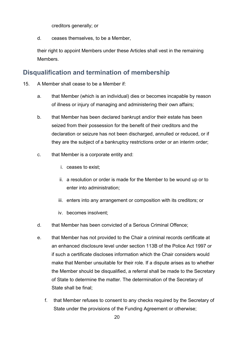creditors generally; or

d. ceases themselves, to be a Member,

their right to appoint Members under these Articles shall vest in the remaining Members.

## <span id="page-19-0"></span>**Disqualification and termination of membership**

- 15. A Member shall cease to be a Member if:
	- a. that Member (which is an individual) dies or becomes incapable by reason of illness or injury of managing and administering their own affairs;
	- b. that Member has been declared bankrupt and/or their estate has been seized from their possession for the benefit of their creditors and the declaration or seizure has not been discharged, annulled or reduced, or if they are the subject of a bankruptcy restrictions order or an interim order;
	- c. that Member is a corporate entity and:
		- i. ceases to exist;
		- ii. a resolution or order is made for the Member to be wound up or to enter into administration;
		- iii. enters into any arrangement or composition with its creditors; or
		- iv. becomes insolvent;
	- d. that Member has been convicted of a Serious Criminal Offence;
	- e. that Member has not provided to the Chair a criminal records certificate at an enhanced disclosure level under section 113B of the Police Act 1997 or if such a certificate discloses information which the Chair considers would make that Member unsuitable for their role. If a dispute arises as to whether the Member should be disqualified, a referral shall be made to the Secretary of State to determine the matter. The determination of the Secretary of State shall be final;
		- f. that Member refuses to consent to any checks required by the Secretary of State under the provisions of the Funding Agreement or otherwise;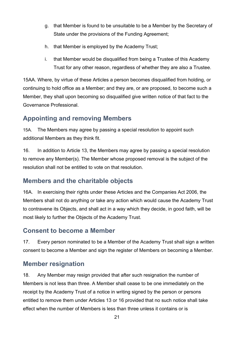- g. that Member is found to be unsuitable to be a Member by the Secretary of State under the provisions of the Funding Agreement;
- h. that Member is employed by the Academy Trust;
- i. that Member would be disqualified from being a Trustee of this Academy Trust for any other reason, regardless of whether they are also a Trustee.

15AA. Where, by virtue of these Articles a person becomes disqualified from holding, or continuing to hold office as a Member; and they are, or are proposed, to become such a Member, they shall upon becoming so disqualified give written notice of that fact to the Governance Professional.

# <span id="page-20-0"></span>**Appointing and removing Members**

15A. The Members may agree by passing a special resolution to appoint such additional Members as they think fit.

16. In addition to Article 13, the Members may agree by passing a special resolution to remove any Member(s). The Member whose proposed removal is the subject of the resolution shall not be entitled to vote on that resolution.

# <span id="page-20-1"></span>**Members and the charitable objects**

16A. In exercising their rights under these Articles and the Companies Act 2006, the Members shall not do anything or take any action which would cause the Academy Trust to contravene its Objects, and shall act in a way which they decide, in good faith, will be most likely to further the Objects of the Academy Trust.

## <span id="page-20-2"></span>**Consent to become a Member**

17. Every person nominated to be a Member of the Academy Trust shall sign a written consent to become a Member and sign the register of Members on becoming a Member.

# <span id="page-20-3"></span>**Member resignation**

18. Any Member may resign provided that after such resignation the number of Members is not less than three. A Member shall cease to be one immediately on the receipt by the Academy Trust of a notice in writing signed by the person or persons entitled to remove them under Articles 13 or 16 provided that no such notice shall take effect when the number of Members is less than three unless it contains or is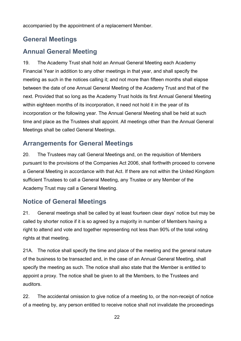accompanied by the appointment of a replacement Member.

# <span id="page-21-0"></span>**General Meetings**

# <span id="page-21-1"></span>**Annual General Meeting**

19. The Academy Trust shall hold an Annual General Meeting each Academy Financial Year in addition to any other meetings in that year, and shall specify the meeting as such in the notices calling it; and not more than fifteen months shall elapse between the date of one Annual General Meeting of the Academy Trust and that of the next. Provided that so long as the Academy Trust holds its first Annual General Meeting within eighteen months of its incorporation, it need not hold it in the year of its incorporation or the following year. The Annual General Meeting shall be held at such time and place as the Trustees shall appoint. All meetings other than the Annual General Meetings shall be called General Meetings.

## <span id="page-21-2"></span>**Arrangements for General Meetings**

20. The Trustees may call General Meetings and, on the requisition of Members pursuant to the provisions of the Companies Act 2006, shall forthwith proceed to convene a General Meeting in accordance with that Act. If there are not within the United Kingdom sufficient Trustees to call a General Meeting, any Trustee or any Member of the Academy Trust may call a General Meeting.

# <span id="page-21-3"></span>**Notice of General Meetings**

21. General meetings shall be called by at least fourteen clear days' notice but may be called by shorter notice if it is so agreed by a majority in number of Members having a right to attend and vote and together representing not less than 90% of the total voting rights at that meeting.

21A. The notice shall specify the time and place of the meeting and the general nature of the business to be transacted and, in the case of an Annual General Meeting, shall specify the meeting as such. The notice shall also state that the Member is entitled to appoint a proxy. The notice shall be given to all the Members, to the Trustees and auditors.

22. The accidental omission to give notice of a meeting to, or the non-receipt of notice of a meeting by, any person entitled to receive notice shall not invalidate the proceedings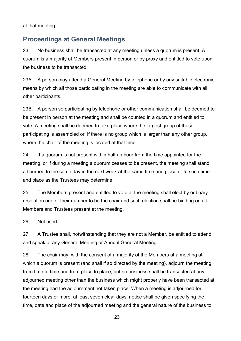at that meeting.

#### <span id="page-22-0"></span>**Proceedings at General Meetings**

23. No business shall be transacted at any meeting unless a quorum is present. A quorum is a majority of Members present in person or by proxy and entitled to vote upon the business to be transacted.

23A. A person may attend a General Meeting by telephone or by any suitable electronic means by which all those participating in the meeting are able to communicate with all other participants.

23B. A person so participating by telephone or other communication shall be deemed to be present in person at the meeting and shall be counted in a quorum and entitled to vote. A meeting shall be deemed to take place where the largest group of those participating is assembled or, if there is no group which is larger than any other group, where the chair of the meeting is located at that time.

24. If a quorum is not present within half an hour from the time appointed for the meeting, or if during a meeting a quorum ceases to be present, the meeting shall stand adjourned to the same day in the next week at the same time and place or to such time and place as the Trustees may determine.

25. The Members present and entitled to vote at the meeting shall elect by ordinary resolution one of their number to be the chair and such election shall be binding on all Members and Trustees present at the meeting.

26. Not used.

27. A Trustee shall, notwithstanding that they are not a Member, be entitled to attend and speak at any General Meeting or Annual General Meeting.

28. The chair may, with the consent of a majority of the Members at a meeting at which a quorum is present (and shall if so directed by the meeting), adjourn the meeting from time to time and from place to place, but no business shall be transacted at any adjourned meeting other than the business which might properly have been transacted at the meeting had the adjournment not taken place. When a meeting is adjourned for fourteen days or more, at least seven clear days' notice shall be given specifying the time, date and place of the adjourned meeting and the general nature of the business to

23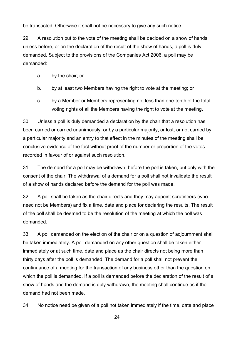be transacted. Otherwise it shall not be necessary to give any such notice.

29. A resolution put to the vote of the meeting shall be decided on a show of hands unless before, or on the declaration of the result of the show of hands, a poll is duly demanded. Subject to the provisions of the Companies Act 2006, a poll may be demanded:

- a. by the chair; or
- b. by at least two Members having the right to vote at the meeting; or
- c. by a Member or Members representing not less than one-tenth of the total voting rights of all the Members having the right to vote at the meeting.

30. Unless a poll is duly demanded a declaration by the chair that a resolution has been carried or carried unanimously, or by a particular majority, or lost, or not carried by a particular majority and an entry to that effect in the minutes of the meeting shall be conclusive evidence of the fact without proof of the number or proportion of the votes recorded in favour of or against such resolution.

31. The demand for a poll may be withdrawn, before the poll is taken, but only with the consent of the chair. The withdrawal of a demand for a poll shall not invalidate the result of a show of hands declared before the demand for the poll was made.

32. A poll shall be taken as the chair directs and they may appoint scrutineers (who need not be Members) and fix a time, date and place for declaring the results. The result of the poll shall be deemed to be the resolution of the meeting at which the poll was demanded.

33. A poll demanded on the election of the chair or on a question of adjournment shall be taken immediately. A poll demanded on any other question shall be taken either immediately or at such time, date and place as the chair directs not being more than thirty days after the poll is demanded. The demand for a poll shall not prevent the continuance of a meeting for the transaction of any business other than the question on which the poll is demanded. If a poll is demanded before the declaration of the result of a show of hands and the demand is duly withdrawn, the meeting shall continue as if the demand had not been made.

34. No notice need be given of a poll not taken immediately if the time, date and place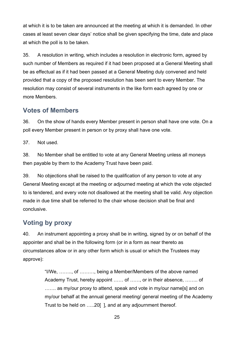at which it is to be taken are announced at the meeting at which it is demanded. In other cases at least seven clear days' notice shall be given specifying the time, date and place at which the poll is to be taken.

35. A resolution in writing, which includes a resolution in electronic form, agreed by such number of Members as required if it had been proposed at a General Meeting shall be as effectual as if it had been passed at a General Meeting duly convened and held provided that a copy of the proposed resolution has been sent to every Member. The resolution may consist of several instruments in the like form each agreed by one or more Members.

#### <span id="page-24-0"></span>**Votes of Members**

36. On the show of hands every Member present in person shall have one vote. On a poll every Member present in person or by proxy shall have one vote.

37. Not used.

38. No Member shall be entitled to vote at any General Meeting unless all moneys then payable by them to the Academy Trust have been paid.

39. No objections shall be raised to the qualification of any person to vote at any General Meeting except at the meeting or adjourned meeting at which the vote objected to is tendered, and every vote not disallowed at the meeting shall be valid. Any objection made in due time shall be referred to the chair whose decision shall be final and conclusive.

# <span id="page-24-1"></span>**Voting by proxy**

40. An instrument appointing a proxy shall be in writing, signed by or on behalf of the appointer and shall be in the following form (or in a form as near thereto as circumstances allow or in any other form which is usual or which the Trustees may approve):

> "I/We, …….., of ………, being a Member/Members of the above named Academy Trust, hereby appoint …… of ……, or in their absence, …….. of ....... as my/our proxy to attend, speak and vote in my/our name[s] and on my/our behalf at the annual general meeting/ general meeting of the Academy Trust to be held on …..20[ ], and at any adjournment thereof.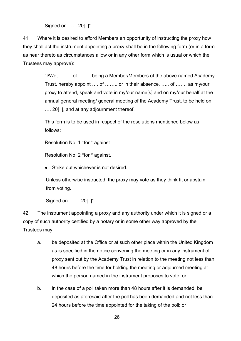Signed on ….. 20[ ]"

41. Where it is desired to afford Members an opportunity of instructing the proxy how they shall act the instrument appointing a proxy shall be in the following form (or in a form as near thereto as circumstances allow or in any other form which is usual or which the Trustees may approve):

> "I/We, ……., of ……., being a Member/Members of the above named Academy Trust, hereby appoint …. of ……., or in their absence, ….. of ……, as my/our proxy to attend, speak and vote in my/our name[s] and on my/our behalf at the annual general meeting/ general meeting of the Academy Trust, to be held on .... 20 [], and at any adjournment thereof.

This form is to be used in respect of the resolutions mentioned below as follows:

Resolution No. 1 \*for \* against

Resolution No. 2 \*for \* against.

● Strike out whichever is not desired.

Unless otherwise instructed, the proxy may vote as they think fit or abstain from voting.

Signed on 20[ ]"

42. The instrument appointing a proxy and any authority under which it is signed or a copy of such authority certified by a notary or in some other way approved by the Trustees may:

- a. be deposited at the Office or at such other place within the United Kingdom as is specified in the notice convening the meeting or in any instrument of proxy sent out by the Academy Trust in relation to the meeting not less than 48 hours before the time for holding the meeting or adjourned meeting at which the person named in the instrument proposes to vote; or
- b. in the case of a poll taken more than 48 hours after it is demanded, be deposited as aforesaid after the poll has been demanded and not less than 24 hours before the time appointed for the taking of the poll; or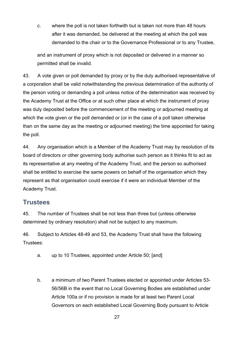c. where the poll is not taken forthwith but is taken not more than 48 hours after it was demanded, be delivered at the meeting at which the poll was demanded to the chair or to the Governance Professional or to any Trustee,

and an instrument of proxy which is not deposited or delivered in a manner so permitted shall be invalid.

43. A vote given or poll demanded by proxy or by the duly authorised representative of a corporation shall be valid notwithstanding the previous determination of the authority of the person voting or demanding a poll unless notice of the determination was received by the Academy Trust at the Office or at such other place at which the instrument of proxy was duly deposited before the commencement of the meeting or adjourned meeting at which the vote given or the poll demanded or (or in the case of a poll taken otherwise than on the same day as the meeting or adjourned meeting) the time appointed for taking the poll.

44. Any organisation which is a Member of the Academy Trust may by resolution of its board of directors or other governing body authorise such person as it thinks fit to act as its representative at any meeting of the Academy Trust, and the person so authorised shall be entitled to exercise the same powers on behalf of the organisation which they represent as that organisation could exercise if it were an individual Member of the Academy Trust.

#### <span id="page-26-0"></span>**Trustees**

45. The number of Trustees shall be not less than three but (unless otherwise determined by ordinary resolution) shall not be subject to any maximum.

46. Subject to Articles 48-49 and 53, the Academy Trust shall have the following Trustees:

- a. up to 10 Trustees, appointed under Article 50; [and]
- b. a minimum of two Parent Trustees elected or appointed under Articles 53- 56/56B in the event that no Local Governing Bodies are established under Article 100a or if no provision is made for at least two Parent Local Governors on each established Local Governing Body pursuant to Article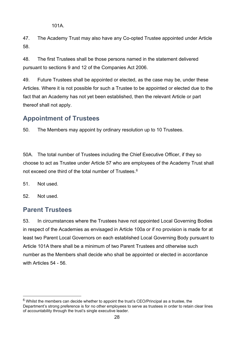101A.

47. The Academy Trust may also have any Co-opted Trustee appointed under Article 58.

48. The first Trustees shall be those persons named in the statement delivered pursuant to sections 9 and 12 of the Companies Act 2006.

49. Future Trustees shall be appointed or elected, as the case may be, under these Articles. Where it is not possible for such a Trustee to be appointed or elected due to the fact that an Academy has not yet been established, then the relevant Article or part thereof shall not apply.

# <span id="page-27-0"></span>**Appointment of Trustees**

50. The Members may appoint by ordinary resolution up to 10 Trustees.

50A. The total number of Trustees including the Chief Executive Officer, if they so choose to act as Trustee under Article 57 who are employees of the Academy Trust shall not exceed one third of the total number of Trustees.<sup>[6](#page-27-2)</sup>

51. Not used.

52. Not used.

#### <span id="page-27-1"></span>**Parent Trustees**

53. In circumstances where the Trustees have not appointed Local Governing Bodies in respect of the Academies as envisaged in Article 100a or if no provision is made for at least two Parent Local Governors on each established Local Governing Body pursuant to Article 101A there shall be a minimum of two Parent Trustees and otherwise such number as the Members shall decide who shall be appointed or elected in accordance with Articles 54 - 56.

<span id="page-27-2"></span> $6$  Whilst the members can decide whether to appoint the trust's CEO/Principal as a trustee, the Department's strong preference is for no other employees to serve as trustees in order to retain clear lines of accountability through the trust's single executive leader.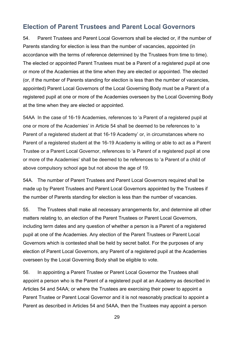#### <span id="page-28-0"></span>**Election of Parent Trustees and Parent Local Governors**

54. Parent Trustees and Parent Local Governors shall be elected or, if the number of Parents standing for election is less than the number of vacancies, appointed (in accordance with the terms of reference determined by the Trustees from time to time). The elected or appointed Parent Trustees must be a Parent of a registered pupil at one or more of the Academies at the time when they are elected or appointed. The elected (or, if the number of Parents standing for election is less than the number of vacancies, appointed) Parent Local Governors of the Local Governing Body must be a Parent of a registered pupil at one or more of the Academies overseen by the Local Governing Body at the time when they are elected or appointed.

54AA In the case of 16-19 Academies, references to 'a Parent of a registered pupil at one or more of the Academies' in Article 54 shall be deemed to be references to 'a Parent of a registered student at that 16-19 Academy' or, in circumstances where no Parent of a registered student at the 16-19 Academy is willing or able to act as a Parent Trustee or a Parent Local Governor, references to 'a Parent of a registered pupil at one or more of the Academies' shall be deemed to be references to 'a Parent of a child of above compulsory school age but not above the age of 19.

54A. The number of Parent Trustees and Parent Local Governors required shall be made up by Parent Trustees and Parent Local Governors appointed by the Trustees if the number of Parents standing for election is less than the number of vacancies.

55. The Trustees shall make all necessary arrangements for, and determine all other matters relating to, an election of the Parent Trustees or Parent Local Governors, including term dates and any question of whether a person is a Parent of a registered pupil at one of the Academies. Any election of the Parent Trustees or Parent Local Governors which is contested shall be held by secret ballot. For the purposes of any election of Parent Local Governors, any Parent of a registered pupil at the Academies overseen by the Local Governing Body shall be eligible to vote.

56. In appointing a Parent Trustee or Parent Local Governor the Trustees shall appoint a person who is the Parent of a registered pupil at an Academy as described in Articles 54 and 54AA; or where the Trustees are exercising their power to appoint a Parent Trustee or Parent Local Governor and it is not reasonably practical to appoint a Parent as described in Articles 54 and 54AA, then the Trustees may appoint a person

29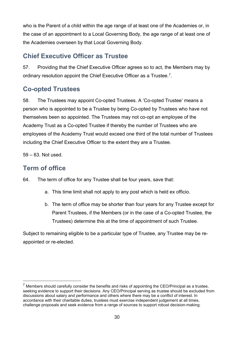who is the Parent of a child within the age range of at least one of the Academies or, in the case of an appointment to a Local Governing Body, the age range of at least one of the Academies overseen by that Local Governing Body.

## <span id="page-29-0"></span>**Chief Executive Officer as Trustee**

57. Providing that the Chief Executive Officer agrees so to act, the Members may by ordinary resolution appoint the Chief Executive Officer as a Trustee.<sup>7</sup>.

# <span id="page-29-1"></span>**Co-opted Trustees**

58. The Trustees may appoint Co-opted Trustees. A 'Co-opted Trustee' means a person who is appointed to be a Trustee by being Co-opted by Trustees who have not themselves been so appointed. The Trustees may not co-opt an employee of the Academy Trust as a Co-opted Trustee if thereby the number of Trustees who are employees of the Academy Trust would exceed one third of the total number of Trustees including the Chief Executive Officer to the extent they are a Trustee.

59 – 63. Not used.

# <span id="page-29-2"></span>**Term of office**

- 64. The term of office for any Trustee shall be four years, save that:
	- a. This time limit shall not apply to any post which is held ex officio.
	- b. The term of office may be shorter than four years for any Trustee except for Parent Trustees, if the Members (or in the case of a Co-opted Trustee, the Trustees) determine this at the time of appointment of such Trustee.

Subject to remaining eligible to be a particular type of Trustee, any Trustee may be reappointed or re-elected.

<span id="page-29-3"></span> <sup>7</sup> Members should carefully consider the benefits and risks of appointing the CEO/Principal as a trustee, seeking evidence to support their decisions. Any CEO/Principal serving as trustee should be excluded from discussions about salary and performance and others where there may be a conflict of interest. In accordance with their charitable duties, trustees must exercise independent judgement at all times, challenge proposals and seek evidence from a range of sources to support robust decision-making.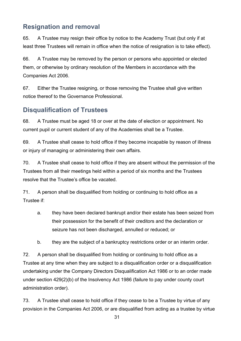# <span id="page-30-0"></span>**Resignation and removal**

65. A Trustee may resign their office by notice to the Academy Trust (but only if at least three Trustees will remain in office when the notice of resignation is to take effect).

66. A Trustee may be removed by the person or persons who appointed or elected them, or otherwise by ordinary resolution of the Members in accordance with the Companies Act 2006.

67. Either the Trustee resigning, or those removing the Trustee shall give written notice thereof to the Governance Professional.

# <span id="page-30-1"></span>**Disqualification of Trustees**

68. A Trustee must be aged 18 or over at the date of election or appointment. No current pupil or current student of any of the Academies shall be a Trustee.

69. A Trustee shall cease to hold office if they become incapable by reason of illness or injury of managing or administering their own affairs.

70. A Trustee shall cease to hold office if they are absent without the permission of the Trustees from all their meetings held within a period of six months and the Trustees resolve that the Trustee's office be vacated.

71. A person shall be disqualified from holding or continuing to hold office as a Trustee if:

- a. they have been declared bankrupt and/or their estate has been seized from their possession for the benefit of their creditors and the declaration or seizure has not been discharged, annulled or reduced; or
- b. they are the subject of a bankruptcy restrictions order or an interim order.

72. A person shall be disqualified from holding or continuing to hold office as a Trustee at any time when they are subject to a disqualification order or a disqualification undertaking under the Company Directors Disqualification Act 1986 or to an order made under section 429(2)(b) of the Insolvency Act 1986 (failure to pay under county court administration order).

73. A Trustee shall cease to hold office if they cease to be a Trustee by virtue of any provision in the Companies Act 2006, or are disqualified from acting as a trustee by virtue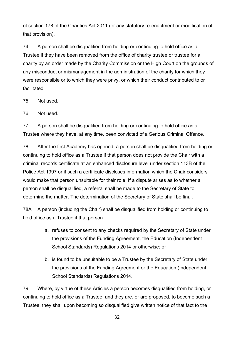of section 178 of the Charities Act 2011 (or any statutory re-enactment or modification of that provision).

74. A person shall be disqualified from holding or continuing to hold office as a Trustee if they have been removed from the office of charity trustee or trustee for a charity by an order made by the Charity Commission or the High Court on the grounds of any misconduct or mismanagement in the administration of the charity for which they were responsible or to which they were privy, or which their conduct contributed to or facilitated.

75. Not used.

76. Not used.

77. A person shall be disqualified from holding or continuing to hold office as a Trustee where they have, at any time, been convicted of a Serious Criminal Offence.

78. After the first Academy has opened, a person shall be disqualified from holding or continuing to hold office as a Trustee if that person does not provide the Chair with a criminal records certificate at an enhanced disclosure level under section 113B of the Police Act 1997 or if such a certificate discloses information which the Chair considers would make that person unsuitable for their role. If a dispute arises as to whether a person shall be disqualified, a referral shall be made to the Secretary of State to determine the matter. The determination of the Secretary of State shall be final.

78A A person (including the Chair) shall be disqualified from holding or continuing to hold office as a Trustee if that person:

- a. refuses to consent to any checks required by the Secretary of State under the provisions of the Funding Agreement, the Education (Independent School Standards) Regulations 2014 or otherwise; or
- b. is found to be unsuitable to be a Trustee by the Secretary of State under the provisions of the Funding Agreement or the Education (Independent School Standards) Regulations 2014.

79. Where, by virtue of these Articles a person becomes disqualified from holding, or continuing to hold office as a Trustee; and they are, or are proposed, to become such a Trustee, they shall upon becoming so disqualified give written notice of that fact to the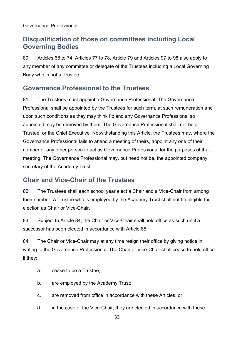Governance Professional.

## <span id="page-32-0"></span>**Disqualification of those on committees including Local Governing Bodies**

80. Articles 68 to 74, Articles 77 to 78, Article 79 and Articles 97 to 98 also apply to any member of any committee or delegate of the Trustees including a Local Governing Body who is not a Trustee.

## <span id="page-32-1"></span>**Governance Professional to the Trustees**

81. The Trustees must appoint a Governance Professional. The Governance Professional shall be appointed by the Trustees for such term, at such remuneration and upon such conditions as they may think fit; and any Governance Professional so appointed may be removed by them. The Governance Professional shall not be a Trustee, or the Chief Executive*.* Notwithstanding this Article, the Trustees may, where the Governance Professional fails to attend a meeting of theirs, appoint any one of their number or any other person to act as Governance Professional for the purposes of that meeting. The Governance Professional may, but need not be, the appointed company secretary of the Academy Trust.

## <span id="page-32-2"></span>**Chair and Vice-Chair of the Trustees**

82. The Trustees shall each school year elect a Chair and a Vice-Chair from among their number. A Trustee who is employed by the Academy Trust shall not be eligible for election as Chair or Vice-Chair.

83. Subject to Article 84, the Chair or Vice-Chair shall hold office as such until a successor has been elected in accordance with Article 85.

84. The Chair or Vice-Chair may at any time resign their office by giving notice in writing to the Governance Professional. The Chair or Vice-Chair shall cease to hold office if they:

- a. cease to be a Trustee;
- b. are employed by the Academy Trust;
- c. are removed from office in accordance with these Articles; or
- d. in the case of the Vice-Chair, they are elected in accordance with these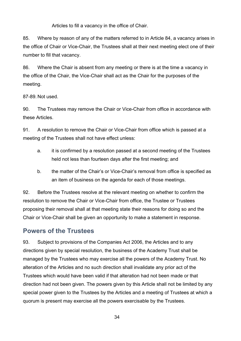Articles to fill a vacancy in the office of Chair.

85. Where by reason of any of the matters referred to in Article 84, a vacancy arises in the office of Chair or Vice-Chair, the Trustees shall at their next meeting elect one of their number to fill that vacancy.

86. Where the Chair is absent from any meeting or there is at the time a vacancy in the office of the Chair, the Vice-Chair shall act as the Chair for the purposes of the meeting.

87-89. Not used.

90. The Trustees may remove the Chair or Vice-Chair from office in accordance with these Articles.

91. A resolution to remove the Chair or Vice-Chair from office which is passed at a meeting of the Trustees shall not have effect unless:

- a. it is confirmed by a resolution passed at a second meeting of the Trustees held not less than fourteen days after the first meeting; and
- b. the matter of the Chair's or Vice-Chair's removal from office is specified as an item of business on the agenda for each of those meetings.

92. Before the Trustees resolve at the relevant meeting on whether to confirm the resolution to remove the Chair or Vice-Chair from office, the Trustee or Trustees proposing their removal shall at that meeting state their reasons for doing so and the Chair or Vice-Chair shall be given an opportunity to make a statement in response.

#### <span id="page-33-0"></span>**Powers of the Trustees**

93. Subject to provisions of the Companies Act 2006, the Articles and to any directions given by special resolution, the business of the Academy Trust shall be managed by the Trustees who may exercise all the powers of the Academy Trust. No alteration of the Articles and no such direction shall invalidate any prior act of the Trustees which would have been valid if that alteration had not been made or that direction had not been given. The powers given by this Article shall not be limited by any special power given to the Trustees by the Articles and a meeting of Trustees at which a quorum is present may exercise all the powers exercisable by the Trustees.

34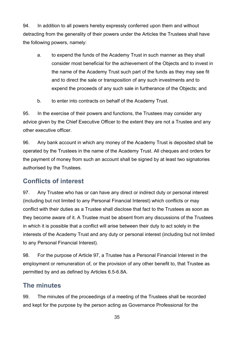94. In addition to all powers hereby expressly conferred upon them and without detracting from the generality of their powers under the Articles the Trustees shall have the following powers, namely:

- a. to expend the funds of the Academy Trust in such manner as they shall consider most beneficial for the achievement of the Objects and to invest in the name of the Academy Trust such part of the funds as they may see fit and to direct the sale or transposition of any such investments and to expend the proceeds of any such sale in furtherance of the Objects; and
- b. to enter into contracts on behalf of the Academy Trust.

95. In the exercise of their powers and functions, the Trustees may consider any advice given by the Chief Executive Officer to the extent they are not a Trustee and any other executive officer.

96. Any bank account in which any money of the Academy Trust is deposited shall be operated by the Trustees in the name of the Academy Trust. All cheques and orders for the payment of money from such an account shall be signed by at least two signatories authorised by the Trustees.

## <span id="page-34-0"></span>**Conflicts of interest**

97. Any Trustee who has or can have any direct or indirect duty or personal interest (including but not limited to any Personal Financial Interest) which conflicts or may conflict with their duties as a Trustee shall disclose that fact to the Trustees as soon as they become aware of it. A Trustee must be absent from any discussions of the Trustees in which it is possible that a conflict will arise between their duty to act solely in the interests of the Academy Trust and any duty or personal interest (including but not limited to any Personal Financial Interest).

98. For the purpose of Article 97, a Trustee has a Personal Financial Interest in the employment or remuneration of, or the provision of any other benefit to, that Trustee as permitted by and as defined by Articles 6.5-6.8A.

## <span id="page-34-1"></span>**The minutes**

99. The minutes of the proceedings of a meeting of the Trustees shall be recorded and kept for the purpose by the person acting as Governance Professional for the

35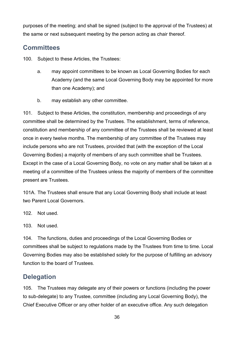purposes of the meeting; and shall be signed (subject to the approval of the Trustees) at the same or next subsequent meeting by the person acting as chair thereof.

#### <span id="page-35-0"></span>**Committees**

100. Subject to these Articles, the Trustees:

- a. may appoint committees to be known as Local Governing Bodies for each Academy (and the same Local Governing Body may be appointed for more than one Academy); and
- b. may establish any other committee.

101. Subject to these Articles, the constitution, membership and proceedings of any committee shall be determined by the Trustees. The establishment, terms of reference, constitution and membership of any committee of the Trustees shall be reviewed at least once in every twelve months. The membership of any committee of the Trustees may include persons who are not Trustees, provided that (with the exception of the Local Governing Bodies) a majority of members of any such committee shall be Trustees. Except in the case of a Local Governing Body, no vote on any matter shall be taken at a meeting of a committee of the Trustees unless the majority of members of the committee present are Trustees.

101A. The Trustees shall ensure that any Local Governing Body shall include at least two Parent Local Governors.

102. Not used.

103. Not used.

104. The functions, duties and proceedings of the Local Governing Bodies or committees shall be subject to regulations made by the Trustees from time to time. Local Governing Bodies may also be established solely for the purpose of fulfilling an advisory function to the board of Trustees.

#### <span id="page-35-1"></span>**Delegation**

105. The Trustees may delegate any of their powers or functions (including the power to sub-delegate) to any Trustee, committee (including any Local Governing Body), the Chief Executive Officer or any other holder of an executive office. Any such delegation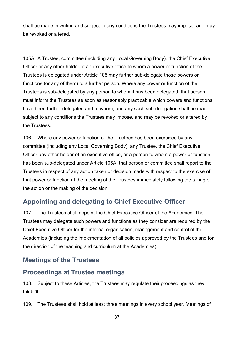shall be made in writing and subject to any conditions the Trustees may impose, and may be revoked or altered.

105A. A Trustee, committee (including any Local Governing Body), the Chief Executive Officer or any other holder of an executive office to whom a power or function of the Trustees is delegated under Article 105 may further sub-delegate those powers or functions (or any of them) to a further person. Where any power or function of the Trustees is sub-delegated by any person to whom it has been delegated, that person must inform the Trustees as soon as reasonably practicable which powers and functions have been further delegated and to whom, and any such sub-delegation shall be made subject to any conditions the Trustees may impose, and may be revoked or altered by the Trustees.

106. Where any power or function of the Trustees has been exercised by any committee (including any Local Governing Body), any Trustee, the Chief Executive Officer any other holder of an executive office, or a person to whom a power or function has been sub-delegated under Article 105A, that person or committee shall report to the Trustees in respect of any action taken or decision made with respect to the exercise of that power or function at the meeting of the Trustees immediately following the taking of the action or the making of the decision.

# <span id="page-36-0"></span>**Appointing and delegating to Chief Executive Officer**

107. The Trustees shall appoint the Chief Executive Officer of the Academies. The Trustees may delegate such powers and functions as they consider are required by the Chief Executive Officer for the internal organisation, management and control of the Academies (including the implementation of all policies approved by the Trustees and for the direction of the teaching and curriculum at the Academies).

## <span id="page-36-1"></span>**Meetings of the Trustees**

## <span id="page-36-2"></span>**Proceedings at Trustee meetings**

108. Subject to these Articles, the Trustees may regulate their proceedings as they think fit.

109. The Trustees shall hold at least three meetings in every school year. Meetings of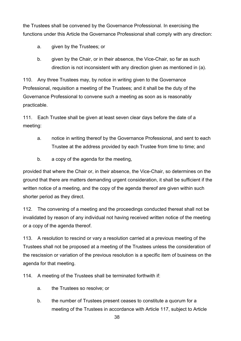the Trustees shall be convened by the Governance Professional. In exercising the functions under this Article the Governance Professional shall comply with any direction:

a. given by the Trustees; or

b. given by the Chair, or in their absence, the Vice-Chair, so far as such direction is not inconsistent with any direction given as mentioned in (a).

110. Any three Trustees may, by notice in writing given to the Governance Professional, requisition a meeting of the Trustees; and it shall be the duty of the Governance Professional to convene such a meeting as soon as is reasonably practicable.

111. Each Trustee shall be given at least seven clear days before the date of a meeting:

- a. notice in writing thereof by the Governance Professional, and sent to each Trustee at the address provided by each Trustee from time to time; and
- b. a copy of the agenda for the meeting,

provided that where the Chair or, in their absence, the Vice-Chair, so determines on the ground that there are matters demanding urgent consideration, it shall be sufficient if the written notice of a meeting, and the copy of the agenda thereof are given within such shorter period as they direct.

112. The convening of a meeting and the proceedings conducted thereat shall not be invalidated by reason of any individual not having received written notice of the meeting or a copy of the agenda thereof.

113. A resolution to rescind or vary a resolution carried at a previous meeting of the Trustees shall not be proposed at a meeting of the Trustees unless the consideration of the rescission or variation of the previous resolution is a specific item of business on the agenda for that meeting.

114. A meeting of the Trustees shall be terminated forthwith if:

- a. the Trustees so resolve; or
- b. the number of Trustees present ceases to constitute a quorum for a meeting of the Trustees in accordance with Article 117, subject to Article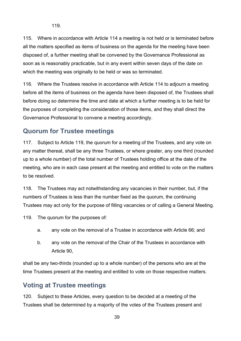115. Where in accordance with Article 114 a meeting is not held or is terminated before all the matters specified as items of business on the agenda for the meeting have been disposed of, a further meeting shall be convened by the Governance Professional as soon as is reasonably practicable, but in any event within seven days of the date on which the meeting was originally to be held or was so terminated.

116. Where the Trustees resolve in accordance with Article 114 to adjourn a meeting before all the items of business on the agenda have been disposed of, the Trustees shall before doing so determine the time and date at which a further meeting is to be held for the purposes of completing the consideration of those items, and they shall direct the Governance Professional to convene a meeting accordingly.

#### <span id="page-38-0"></span>**Quorum for Trustee meetings**

117. Subject to Article 119, the quorum for a meeting of the Trustees, and any vote on any matter thereat, shall be any three Trustees, or where greater, any one third (rounded up to a whole number) of the total number of Trustees holding office at the date of the meeting, who are in each case present at the meeting and entitled to vote on the matters to be resolved.

118. The Trustees may act notwithstanding any vacancies in their number, but, if the numbers of Trustees is less than the number fixed as the quorum, the continuing Trustees may act only for the purpose of filling vacancies or of calling a General Meeting.

119. The quorum for the purposes of:

- a. any vote on the removal of a Trustee in accordance with Article 66; and
- b. any vote on the removal of the Chair of the Trustees in accordance with Article 90,

shall be any two-thirds (rounded up to a whole number) of the persons who are at the time Trustees present at the meeting and entitled to vote on those respective matters.

#### <span id="page-38-1"></span>**Voting at Trustee meetings**

120. Subject to these Articles, every question to be decided at a meeting of the Trustees shall be determined by a majority of the votes of the Trustees present and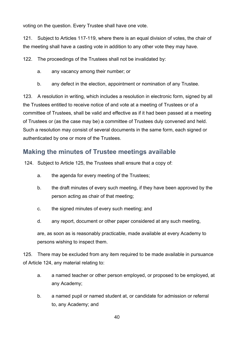voting on the question. Every Trustee shall have one vote.

121. Subject to Articles 117-119, where there is an equal division of votes, the chair of the meeting shall have a casting vote in addition to any other vote they may have.

122. The proceedings of the Trustees shall not be invalidated by:

- a. any vacancy among their number; or
- b. any defect in the election, appointment or nomination of any Trustee.

123. A resolution in writing, which includes a resolution in electronic form, signed by all the Trustees entitled to receive notice of and vote at a meeting of Trustees or of a committee of Trustees, shall be valid and effective as if it had been passed at a meeting of Trustees or (as the case may be) a committee of Trustees duly convened and held. Such a resolution may consist of several documents in the same form, each signed or authenticated by one or more of the Trustees.

#### <span id="page-39-0"></span>**Making the minutes of Trustee meetings available**

124. Subject to Article 125, the Trustees shall ensure that a copy of:

- a. the agenda for every meeting of the Trustees;
- b. the draft minutes of every such meeting, if they have been approved by the person acting as chair of that meeting;
- c. the signed minutes of every such meeting; and
- d. any report, document or other paper considered at any such meeting,

are, as soon as is reasonably practicable, made available at every Academy to persons wishing to inspect them.

125. There may be excluded from any item required to be made available in pursuance of Article 124, any material relating to:

- a. a named teacher or other person employed, or proposed to be employed, at any Academy;
- b. a named pupil or named student at, or candidate for admission or referral to, any Academy; and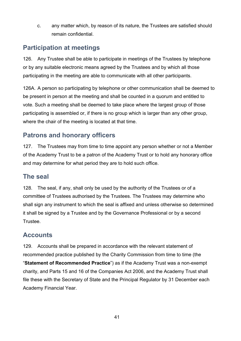c. any matter which, by reason of its nature, the Trustees are satisfied should remain confidential.

# <span id="page-40-0"></span>**Participation at meetings**

126. Any Trustee shall be able to participate in meetings of the Trustees by telephone or by any suitable electronic means agreed by the Trustees and by which all those participating in the meeting are able to communicate with all other participants.

126A. A person so participating by telephone or other communication shall be deemed to be present in person at the meeting and shall be counted in a quorum and entitled to vote. Such a meeting shall be deemed to take place where the largest group of those participating is assembled or, if there is no group which is larger than any other group, where the chair of the meeting is located at that time.

## <span id="page-40-1"></span>**Patrons and honorary officers**

127. The Trustees may from time to time appoint any person whether or not a Member of the Academy Trust to be a patron of the Academy Trust or to hold any honorary office and may determine for what period they are to hold such office.

#### <span id="page-40-2"></span>**The seal**

128. The seal, if any, shall only be used by the authority of the Trustees or of a committee of Trustees authorised by the Trustees. The Trustees may determine who shall sign any instrument to which the seal is affixed and unless otherwise so determined it shall be signed by a Trustee and by the Governance Professional or by a second Trustee.

## <span id="page-40-3"></span>**Accounts**

129. Accounts shall be prepared in accordance with the relevant statement of recommended practice published by the Charity Commission from time to time (the "**Statement of Recommended Practice**") as if the Academy Trust was a non-exempt charity, and Parts 15 and 16 of the Companies Act 2006, and the Academy Trust shall file these with the Secretary of State and the Principal Regulator by 31 December each Academy Financial Year.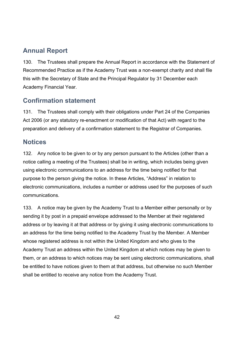# <span id="page-41-0"></span>**Annual Report**

130. The Trustees shall prepare the Annual Report in accordance with the Statement of Recommended Practice as if the Academy Trust was a non-exempt charity and shall file this with the Secretary of State and the Principal Regulator by 31 December each Academy Financial Year.

## <span id="page-41-1"></span>**Confirmation statement**

131. The Trustees shall comply with their obligations under Part 24 of the Companies Act 2006 (or any statutory re-enactment or modification of that Act) with regard to the preparation and delivery of a confirmation statement to the Registrar of Companies.

## <span id="page-41-2"></span>**Notices**

132. Any notice to be given to or by any person pursuant to the Articles (other than a notice calling a meeting of the Trustees) shall be in writing, which includes being given using electronic communications to an address for the time being notified for that purpose to the person giving the notice. In these Articles, "Address" in relation to electronic communications, includes a number or address used for the purposes of such communications.

133. A notice may be given by the Academy Trust to a Member either personally or by sending it by post in a prepaid envelope addressed to the Member at their registered address or by leaving it at that address or by giving it using electronic communications to an address for the time being notified to the Academy Trust by the Member. A Member whose registered address is not within the United Kingdom and who gives to the Academy Trust an address within the United Kingdom at which notices may be given to them, or an address to which notices may be sent using electronic communications, shall be entitled to have notices given to them at that address, but otherwise no such Member shall be entitled to receive any notice from the Academy Trust.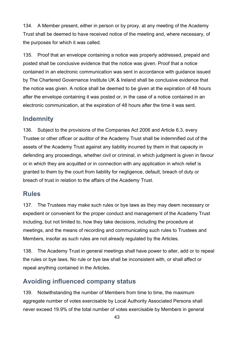134. A Member present, either in person or by proxy, at any meeting of the Academy Trust shall be deemed to have received notice of the meeting and, where necessary, of the purposes for which it was called.

135. Proof that an envelope containing a notice was properly addressed, prepaid and posted shall be conclusive evidence that the notice was given. Proof that a notice contained in an electronic communication was sent in accordance with guidance issued by The Chartered Governance Institute UK & Ireland shall be conclusive evidence that the notice was given. A notice shall be deemed to be given at the expiration of 48 hours after the envelope containing it was posted or, in the case of a notice contained in an electronic communication, at the expiration of 48 hours after the time it was sent.

## <span id="page-42-0"></span>**Indemnity**

136. Subject to the provisions of the Companies Act 2006 and Article 6.3, every Trustee or other officer or auditor of the Academy Trust shall be indemnified out of the assets of the Academy Trust against any liability incurred by them in that capacity in defending any proceedings, whether civil or criminal, in which judgment is given in favour or in which they are acquitted or in connection with any application in which relief is granted to them by the court from liability for negligence, default, breach of duty or breach of trust in relation to the affairs of the Academy Trust.

#### <span id="page-42-1"></span>**Rules**

137. The Trustees may make such rules or bye laws as they may deem necessary or expedient or convenient for the proper conduct and management of the Academy Trust including, but not limited to, how they take decisions, including the procedure at meetings, and the means of recording and communicating such rules to Trustees and Members, insofar as such rules are not already regulated by the Articles.

138. The Academy Trust in general meetings shall have power to alter, add or to repeal the rules or bye laws. No rule or bye law shall be inconsistent with, or shall affect or repeal anything contained in the Articles.

## <span id="page-42-2"></span>**Avoiding influenced company status**

139. Notwithstanding the number of Members from time to time, the maximum aggregate number of votes exercisable by Local Authority Associated Persons shall never exceed 19.9% of the total number of votes exercisable by Members in general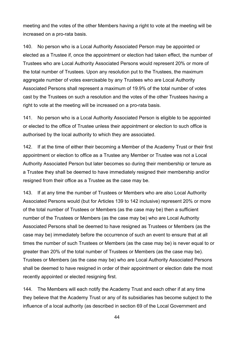meeting and the votes of the other Members having a right to vote at the meeting will be increased on a pro-rata basis.

140. No person who is a Local Authority Associated Person may be appointed or elected as a Trustee if, once the appointment or election had taken effect, the number of Trustees who are Local Authority Associated Persons would represent 20% or more of the total number of Trustees. Upon any resolution put to the Trustees, the maximum aggregate number of votes exercisable by any Trustees who are Local Authority Associated Persons shall represent a maximum of 19.9% of the total number of votes cast by the Trustees on such a resolution and the votes of the other Trustees having a right to vote at the meeting will be increased on a pro-rata basis.

141. No person who is a Local Authority Associated Person is eligible to be appointed or elected to the office of Trustee unless their appointment or election to such office is authorised by the local authority to which they are associated.

142. If at the time of either their becoming a Member of the Academy Trust or their first appointment or election to office as a Trustee any Member or Trustee was not a Local Authority Associated Person but later becomes so during their membership or tenure as a Trustee they shall be deemed to have immediately resigned their membership and/or resigned from their office as a Trustee as the case may be.

143. If at any time the number of Trustees or Members who are also Local Authority Associated Persons would (but for Articles 139 to 142 inclusive) represent 20% or more of the total number of Trustees or Members (as the case may be) then a sufficient number of the Trustees or Members (as the case may be) who are Local Authority Associated Persons shall be deemed to have resigned as Trustees or Members (as the case may be) immediately before the occurrence of such an event to ensure that at all times the number of such Trustees or Members (as the case may be) is never equal to or greater than 20% of the total number of Trustees or Members (as the case may be). Trustees or Members (as the case may be) who are Local Authority Associated Persons shall be deemed to have resigned in order of their appointment or election date the most recently appointed or elected resigning first.

144. The Members will each notify the Academy Trust and each other if at any time they believe that the Academy Trust or any of its subsidiaries has become subject to the influence of a local authority (as described in section 69 of the Local Government and

44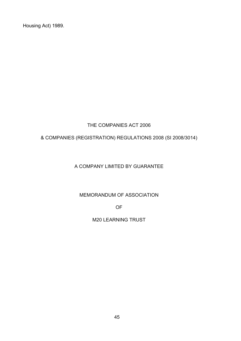Housing Act) 1989.

#### THE COMPANIES ACT 2006

#### & COMPANIES (REGISTRATION) REGULATIONS 2008 (SI 2008/3014)

#### A COMPANY LIMITED BY GUARANTEE

MEMORANDUM OF ASSOCIATION

OF

M20 LEARNING TRUST